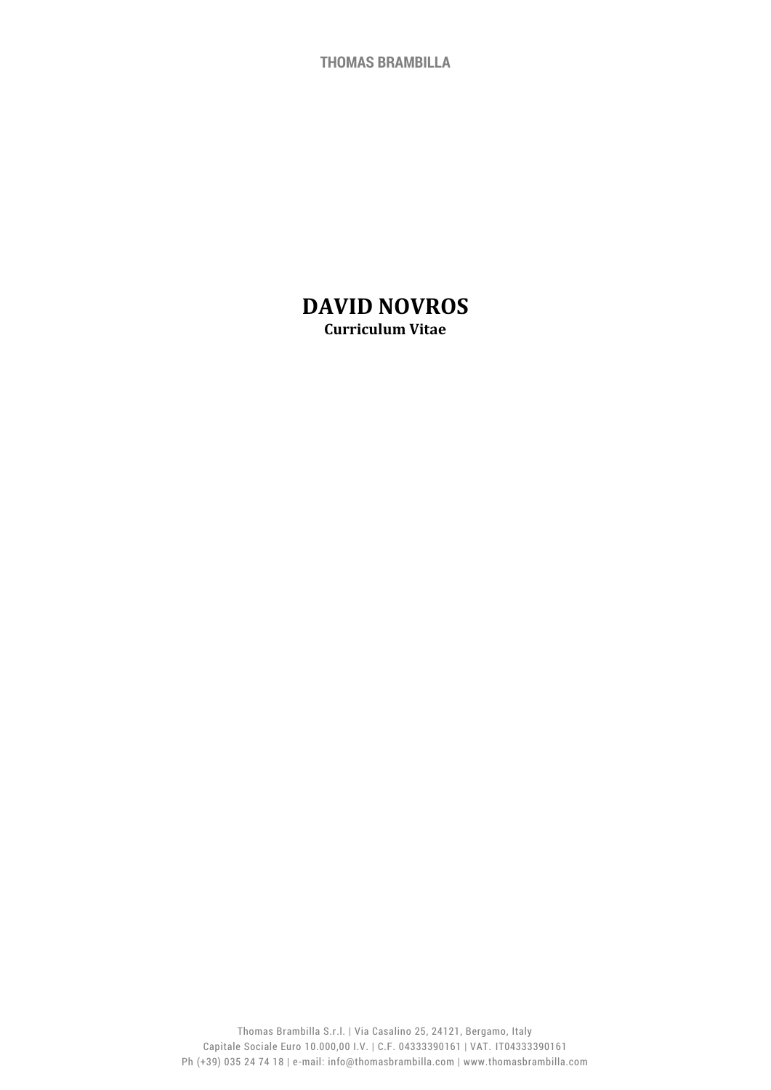**THOMAS BRAMBILLA**

# **DAVID NOVROS Curriculum Vitae**

Thomas Brambilla S.r.l. | Via Casalino 25, 24121, Bergamo, Italy Capitale Sociale Euro 10.000,00 I.V. | C.F. 04333390161 | VAT. IT04333390161 Ph (+39) 035 24 74 18 | e-mail: info@thomasbrambilla.com | www.thomasbrambilla.com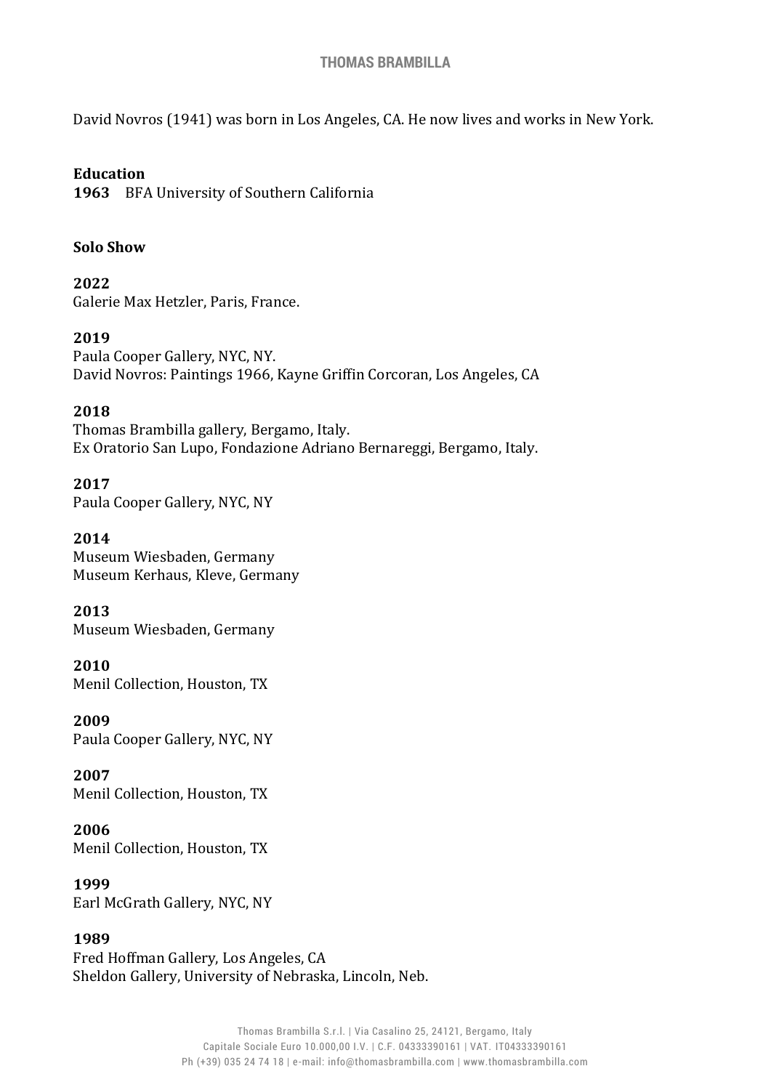#### **THOMAS BRAMBILLA**

David Novros (1941) was born in Los Angeles, CA. He now lives and works in New York.

#### **Education**

**1963** BFA University of Southern California

#### **Solo Show**

**2022** Galerie Max Hetzler, Paris, France.

#### **2019**

Paula Cooper Gallery, NYC, NY. David Novros: Paintings 1966, Kayne Griffin Corcoran, Los Angeles, CA

#### **2018**

Thomas Brambilla gallery, Bergamo, Italy. Ex Oratorio San Lupo, Fondazione Adriano Bernareggi, Bergamo, Italy.

**2017** Paula Cooper Gallery, NYC, NY

**2014** Museum Wiesbaden, Germany Museum Kerhaus, Kleve, Germany

**2013** Museum Wiesbaden, Germany

**2010** Menil Collection, Houston, TX

**2009** Paula Cooper Gallery, NYC, NY

**2007** Menil Collection, Houston, TX

**2006** Menil Collection, Houston, TX

**1999** Earl McGrath Gallery, NYC, NY

#### **1989**

Fred Hoffman Gallery, Los Angeles, CA Sheldon Gallery, University of Nebraska, Lincoln, Neb.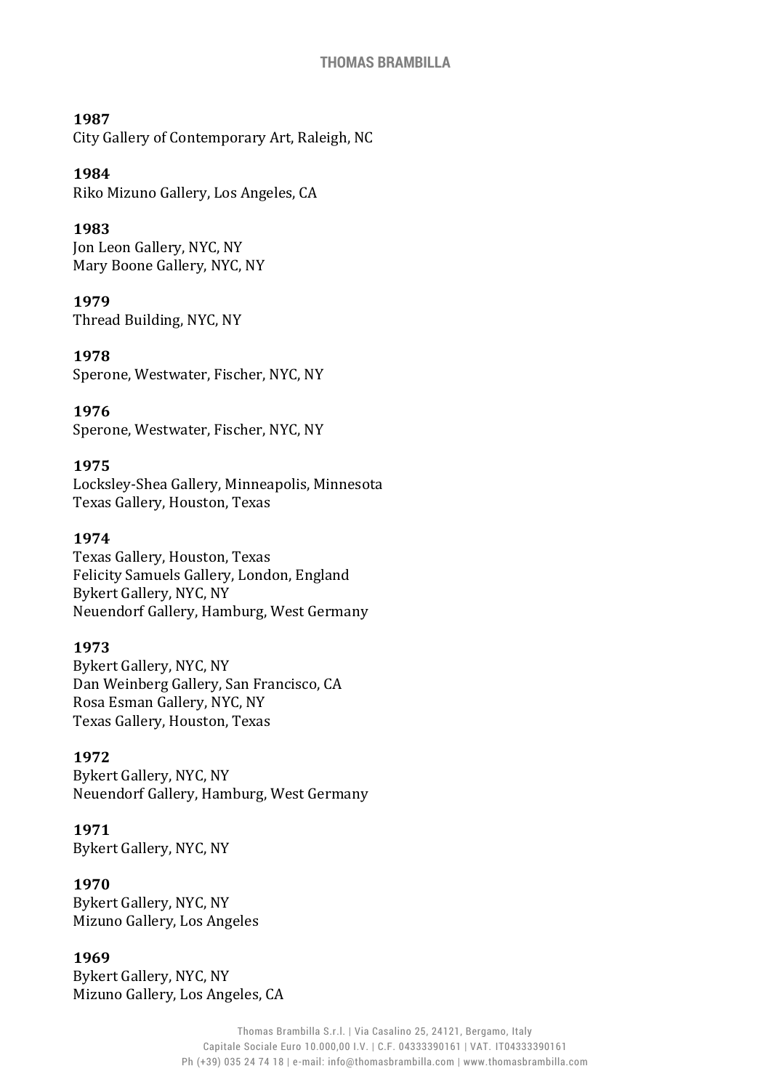#### **1987**

City Gallery of Contemporary Art, Raleigh, NC

#### **1984**

Riko Mizuno Gallery, Los Angeles, CA

### **1983**

Jon Leon Gallery, NYC, NY Mary Boone Gallery, NYC, NY

#### **1979**

Thread Building, NYC, NY

#### **1978**

Sperone, Westwater, Fischer, NYC, NY

### **1976**

Sperone, Westwater, Fischer, NYC, NY

#### **1975**

Locksley-Shea Gallery, Minneapolis, Minnesota Texas Gallery, Houston, Texas

#### **1974**

Texas Gallery, Houston, Texas Felicity Samuels Gallery, London, England Bykert Gallery, NYC, NY Neuendorf Gallery, Hamburg, West Germany

#### **1973**

Bykert Gallery, NYC, NY Dan Weinberg Gallery, San Francisco, CA Rosa Esman Gallery, NYC, NY Texas Gallery, Houston, Texas

### **1972**

Bykert Gallery, NYC, NY Neuendorf Gallery, Hamburg, West Germany

### **1971**

Bykert Gallery, NYC, NY

### **1970**

Bykert Gallery, NYC, NY Mizuno Gallery, Los Angeles

#### **1969**

Bykert Gallery, NYC, NY Mizuno Gallery, Los Angeles, CA

> Thomas Brambilla S.r.l. | Via Casalino 25, 24121, Bergamo, Italy Capitale Sociale Euro 10.000,00 I.V. | C.F. 04333390161 | VAT. IT04333390161 Ph (+39) 035 24 74 18 | e-mail: info@thomasbrambilla.com | www.thomasbrambilla.com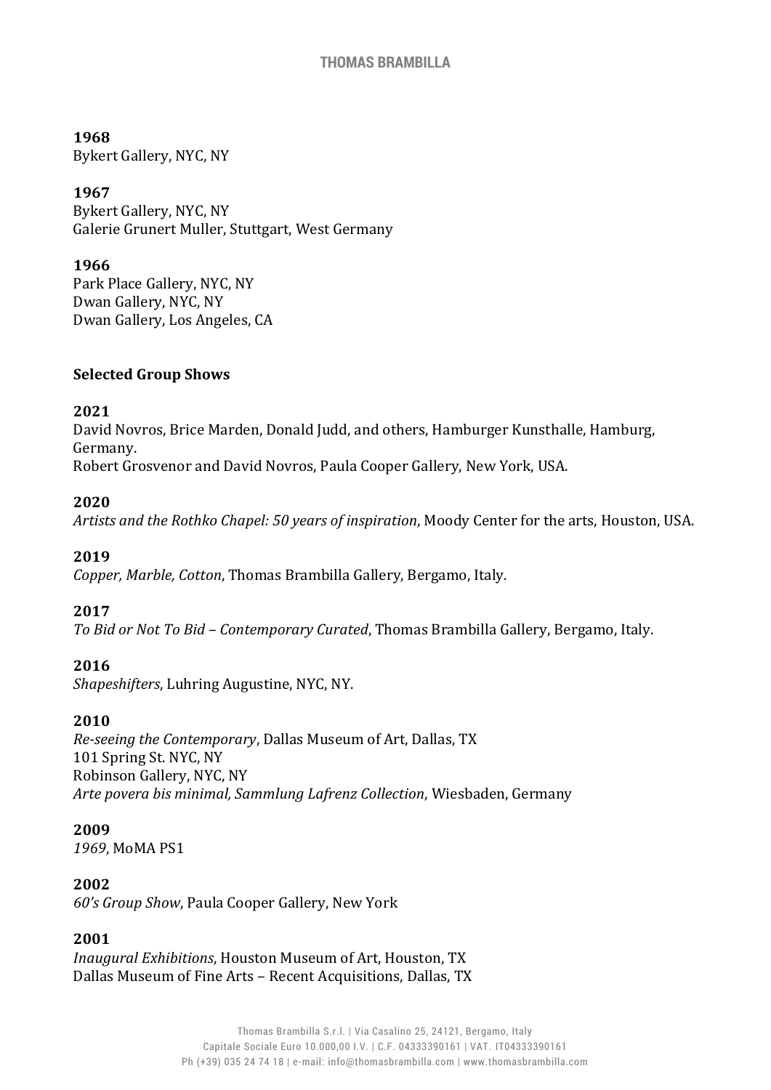#### **1968**

Bykert Gallery, NYC, NY

### **1967**

Bykert Gallery, NYC, NY Galerie Grunert Muller, Stuttgart, West Germany

#### **1966**

Park Place Gallery, NYC, NY Dwan Gallery, NYC, NY Dwan Gallery, Los Angeles, CA

#### **Selected Group Shows**

### **2021**

David Novros, Brice Marden, Donald Judd, and others, Hamburger Kunsthalle, Hamburg, Germany. Robert Grosvenor and David Novros, Paula Cooper Gallery, New York, USA.

### **2020**

*Artists and the Rothko Chapel: 50 years of inspiration*, Moody Center for the arts, Houston, USA.

### **2019**

*Copper, Marble, Cotton*, Thomas Brambilla Gallery, Bergamo, Italy.

### **2017**

*To Bid or Not To Bid – Contemporary Curated*, Thomas Brambilla Gallery, Bergamo, Italy.

### **2016**

*Shapeshifters*, Luhring Augustine, NYC, NY.

### **2010**

*Re-seeing the Contemporary*, Dallas Museum of Art, Dallas, TX 101 Spring St. NYC, NY Robinson Gallery, NYC, NY *Arte povera bis minimal, Sammlung Lafrenz Collection*, Wiesbaden, Germany

#### **2009**

*1969*, MoMA PS1

#### **2002**

*60's Group Show*, Paula Cooper Gallery, New York

### **2001**

*Inaugural Exhibitions*, Houston Museum of Art, Houston, TX Dallas Museum of Fine Arts – Recent Acquisitions, Dallas, TX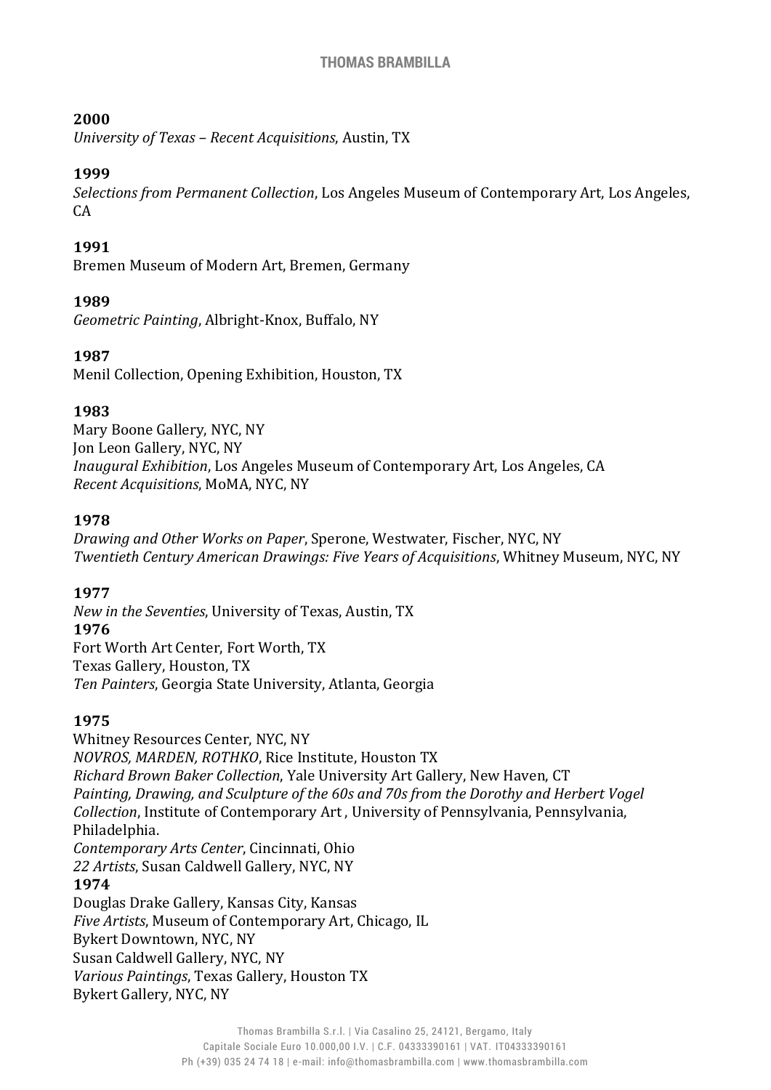### **2000**

*University of Texas – Recent Acquisitions*, Austin, TX

### **1999**

*Selections from Permanent Collection*, Los Angeles Museum of Contemporary Art, Los Angeles,  $CA$ 

### **1991**

Bremen Museum of Modern Art, Bremen, Germany

### **1989**

*Geometric Painting*, Albright-Knox, Buffalo, NY

### **1987**

Menil Collection, Opening Exhibition, Houston, TX

### **1983**

Mary Boone Gallery, NYC, NY Jon Leon Gallery, NYC, NY *Inaugural Exhibition*, Los Angeles Museum of Contemporary Art, Los Angeles, CA *Recent Acquisitions*, MoMA, NYC, NY

### **1978**

*Drawing and Other Works on Paper*, Sperone, Westwater, Fischer, NYC, NY *Twentieth Century American Drawings: Five Years of Acquisitions*, Whitney Museum, NYC, NY

## **1977**

*New in the Seventies*, University of Texas, Austin, TX **1976** Fort Worth Art Center, Fort Worth, TX Texas Gallery, Houston, TX *Ten Painters*, Georgia State University, Atlanta, Georgia

## **1975**

Whitney Resources Center, NYC, NY *NOVROS, MARDEN, ROTHKO*, Rice Institute, Houston TX *Richard Brown Baker Collection*, Yale University Art Gallery, New Haven, CT *Painting, Drawing, and Sculpture of the 60s and 70s from the Dorothy and Herbert Vogel Collection*, Institute of Contemporary Art , University of Pennsylvania, Pennsylvania, Philadelphia. *Contemporary Arts Center*, Cincinnati, Ohio *22 Artists*, Susan Caldwell Gallery, NYC, NY **1974** Douglas Drake Gallery, Kansas City, Kansas *Five Artists*, Museum of Contemporary Art, Chicago, IL Bykert Downtown, NYC, NY Susan Caldwell Gallery, NYC, NY *Various Paintings*, Texas Gallery, Houston TX Bykert Gallery, NYC, NY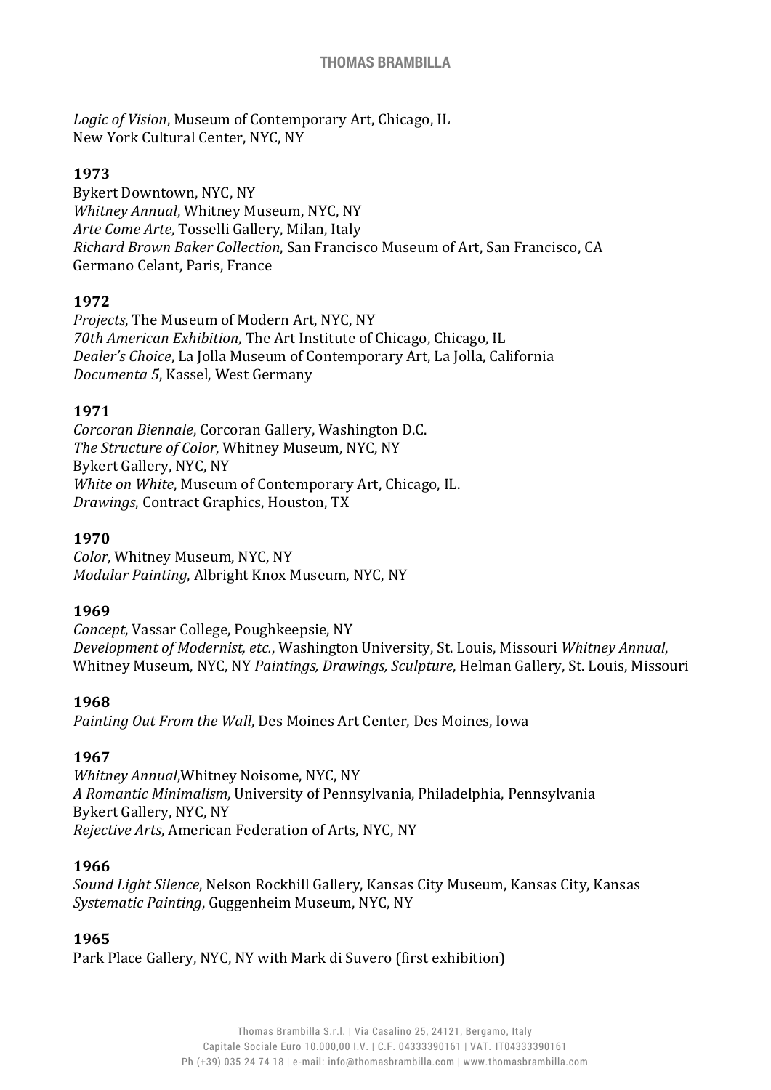*Logic of Vision*, Museum of Contemporary Art, Chicago, IL New York Cultural Center, NYC, NY

### **1973**

Bykert Downtown, NYC, NY *Whitney Annual*, Whitney Museum, NYC, NY *Arte Come Arte*, Tosselli Gallery, Milan, Italy *Richard Brown Baker Collection*, San Francisco Museum of Art, San Francisco, CA Germano Celant, Paris, France

### **1972**

*Projects*, The Museum of Modern Art, NYC, NY *70th American Exhibition*, The Art Institute of Chicago, Chicago, IL *Dealer's Choice*, La Jolla Museum of Contemporary Art, La Jolla, California *Documenta 5*, Kassel, West Germany

### **1971**

*Corcoran Biennale*, Corcoran Gallery, Washington D.C. *The Structure of Color*, Whitney Museum, NYC, NY Bykert Gallery, NYC, NY *White on White*, Museum of Contemporary Art, Chicago, IL. *Drawings*, Contract Graphics, Houston, TX

### **1970**

*Color*, Whitney Museum, NYC, NY *Modular Painting*, Albright Knox Museum, NYC, NY

#### **1969**

*Concept*, Vassar College, Poughkeepsie, NY *Development of Modernist, etc.*, Washington University, St. Louis, Missouri *Whitney Annual*, Whitney Museum, NYC, NY *Paintings, Drawings, Sculpture*, Helman Gallery, St. Louis, Missouri

### **1968**

*Painting Out From the Wall*, Des Moines Art Center, Des Moines, Iowa

### **1967**

*Whitney Annual*,Whitney Noisome, NYC, NY *A Romantic Minimalism*, University of Pennsylvania, Philadelphia, Pennsylvania Bykert Gallery, NYC, NY *Rejective Arts*, American Federation of Arts, NYC, NY

### **1966**

*Sound Light Silence*, Nelson Rockhill Gallery, Kansas City Museum, Kansas City, Kansas *Systematic Painting*, Guggenheim Museum, NYC, NY

### **1965**

Park Place Gallery, NYC, NY with Mark di Suvero (first exhibition)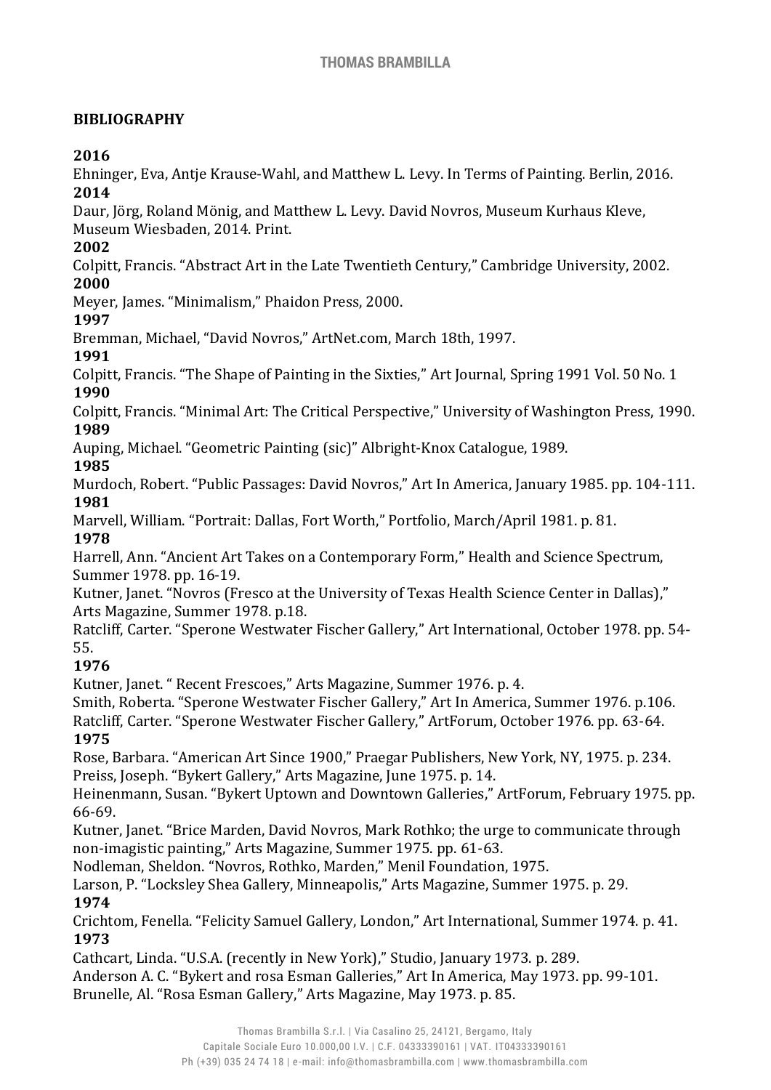## **BIBLIOGRAPHY**

## **2016**

Ehninger, Eva, Antje Krause-Wahl, and Matthew L. Levy. In Terms of Painting. Berlin, 2016. **2014**

Daur, Jörg, Roland Mönig, and Matthew L. Levy. David Novros, Museum Kurhaus Kleve, Museum Wiesbaden, 2014. Print.

### **2002**

Colpitt, Francis. "Abstract Art in the Late Twentieth Century," Cambridge University, 2002. **2000**

Meyer, James. "Minimalism," Phaidon Press, 2000.

## **1997**

Bremman, Michael, "David Novros," ArtNet.com, March 18th, 1997.

### **1991**

Colpitt, Francis. "The Shape of Painting in the Sixties," Art Journal, Spring 1991 Vol. 50 No. 1 **1990**

Colpitt, Francis. "Minimal Art: The Critical Perspective," University of Washington Press, 1990. **1989**

Auping, Michael. "Geometric Painting (sic)" Albright-Knox Catalogue, 1989.

## **1985**

Murdoch, Robert. "Public Passages: David Novros," Art In America, January 1985. pp. 104-111. **1981**

Marvell, William. "Portrait: Dallas, Fort Worth," Portfolio, March/April 1981. p. 81. **1978**

Harrell, Ann. "Ancient Art Takes on a Contemporary Form," Health and Science Spectrum, Summer 1978. pp. 16-19.

Kutner, Janet. "Novros (Fresco at the University of Texas Health Science Center in Dallas)," Arts Magazine, Summer 1978. p.18.

Ratcliff, Carter. "Sperone Westwater Fischer Gallery," Art International, October 1978. pp. 54- 55.

## **1976**

Kutner, Janet. " Recent Frescoes," Arts Magazine, Summer 1976. p. 4.

Smith, Roberta. "Sperone Westwater Fischer Gallery," Art In America, Summer 1976. p.106.

Ratcliff, Carter. "Sperone Westwater Fischer Gallery," ArtForum, October 1976. pp. 63-64. **1975**

Rose, Barbara. "American Art Since 1900," Praegar Publishers, New York, NY, 1975. p. 234. Preiss, Joseph. "Bykert Gallery," Arts Magazine, June 1975. p. 14.

Heinenmann, Susan. "Bykert Uptown and Downtown Galleries," ArtForum, February 1975. pp. 66-69.

Kutner, Janet. "Brice Marden, David Novros, Mark Rothko; the urge to communicate through non-imagistic painting," Arts Magazine, Summer 1975. pp. 61-63.

Nodleman, Sheldon. "Novros, Rothko, Marden," Menil Foundation, 1975.

Larson, P. "Locksley Shea Gallery, Minneapolis," Arts Magazine, Summer 1975. p. 29. **1974**

Crichtom, Fenella. "Felicity Samuel Gallery, London," Art International, Summer 1974. p. 41. **1973**

Cathcart, Linda. "U.S.A. (recently in New York)," Studio, January 1973. p. 289. Anderson A. C. "Bykert and rosa Esman Galleries," Art In America, May 1973. pp. 99-101. Brunelle, Al. "Rosa Esman Gallery," Arts Magazine, May 1973. p. 85.